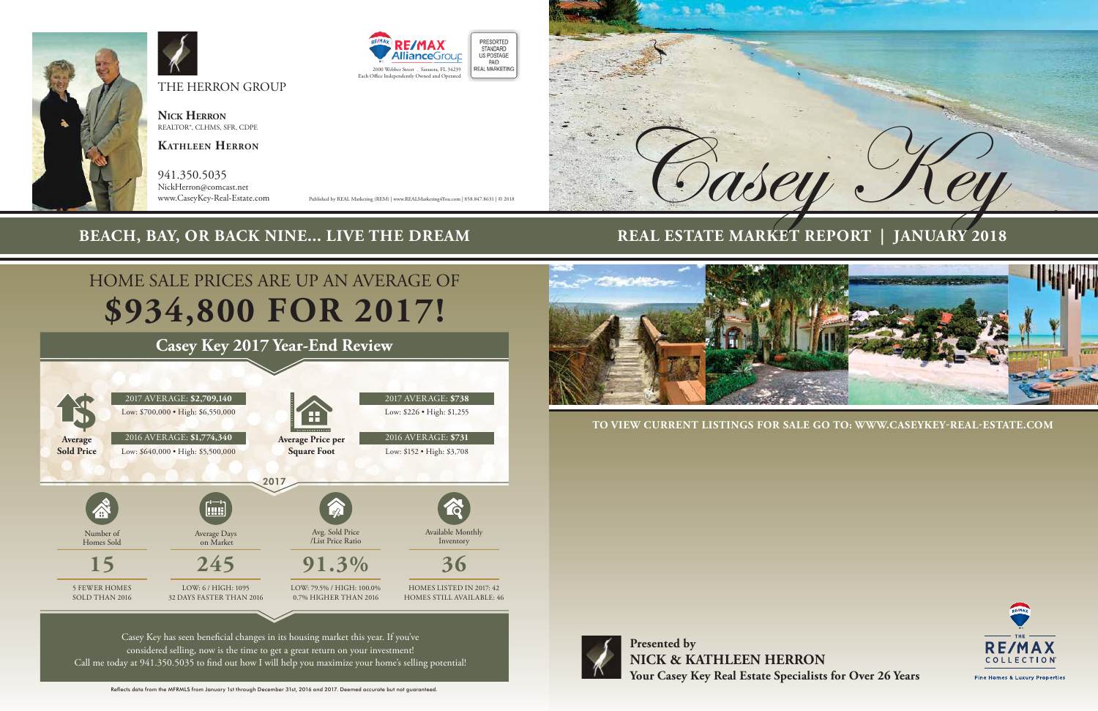**Presented by NICK & KATHLEEN HERRON Your Casey Key Real Estate Specialists for Over 26 Years**

**TO VIEW CURRENT LISTINGS FOR SALE GO TO: WWW.CASEYKEY-REAL-ESTATE.COM** 





## **REAL ESTATE MARKET REPORT | JANUARY 2018**



THE HERRON GROUP

**Nick Herron** REALTOR®, CLHMS, SFR, CDPE

**Kathleen Herron**

941.350.5035 NickHerron@comcast.net

www.CaseyKey-Real-Estate.com Published by REAL Marketing (REM) | www.REALMarketing4You.com | 858.847.8631 | © 2018





## **BEACH, BAY, OR BACK NINE... LIVE THE DREAM**

# **\$934,800 FOR 2017!** HOME SALE PRICES ARE UP AN AVERAGE OF



# **Casey Key 2017 Year-End Review**

Reflects data from the MFRMLS from January 1st through December 31st, 2016 and 2017. Deemed accurate but not guaranteed.



Fine Homes & Luxury Properties

Casey Key has seen beneficial changes in its housing market this year. If you've considered selling, now is the time to get a great return on your investment! Call me today at 941.350.5035 to find out how I will help you maximize your home's selling potential!